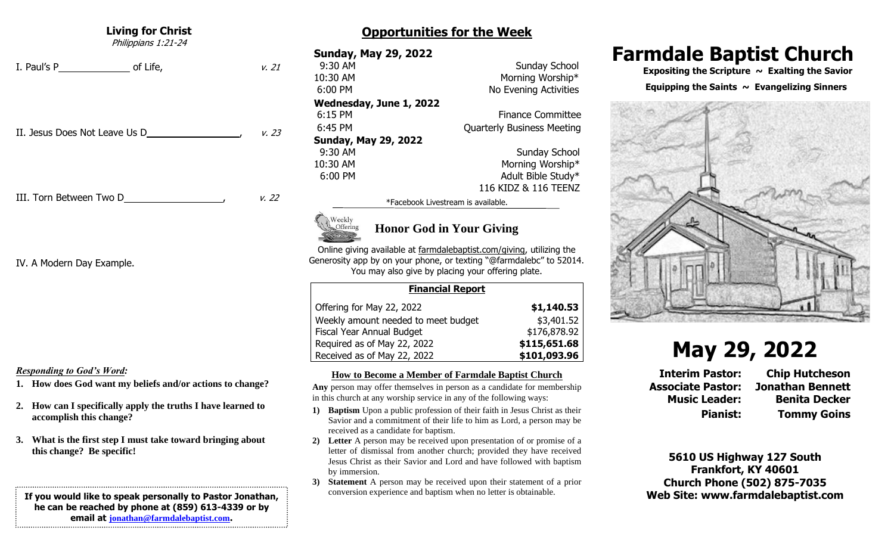#### **Living for Christ**

Philippians 1:21-24

I. Paul's P of Life,  $v. 21$ 

II. Jesus Does Not Leave Us D  $\mu$  ,  $\mu$ , 23

III. Torn Between Two D , v. 22

IV. A Modern Day Example.

#### *Responding to God's Word:*

- **1. How does God want my beliefs and/or actions to change?**
- **2. How can I specifically apply the truths I have learned to accomplish this change?**
- **3. What is the first step I must take toward bringing about this change? Be specific!**

**If you would like to speak personally to Pastor Jonathan, he can be reached by phone at (859) 613-4339 or by email at [jonathan@farmdalebaptist.com](mailto:jonathan@farmdalebaptist.com).**

## **Opportunities for the Week**

**Sunday, May 29, 2022 9:30 AM** Sunday School 10:30 AM Morning Worship\* 6:00 PM No Evening Activities **Wednesday, June 1, 2022** 6:15 PM Finance Committee 6:45 PM Quarterly Business Meeting **Sunday, May 29, 2022 9:30 AM** Sunday School 10:30 AM Morning Worship\* 6:00 PM Adult Bible Study\*

116 KIDZ & 116 TEENZ

\*Facebook Livestream is available.



## **Honor God in Your Giving**

Online giving available at farmdalebaptist.com/giving, utilizing the Generosity app by on your phone, or texting "@farmdalebc" to 52014. You may also give by placing your offering plate.

|                                     | <b>Financial Report</b> |              |
|-------------------------------------|-------------------------|--------------|
| Offering for May 22, 2022           |                         | \$1,140.53   |
| Weekly amount needed to meet budget |                         | \$3,401.52   |
| Fiscal Year Annual Budget           |                         | \$176,878.92 |
| Required as of May 22, 2022         |                         | \$115,651.68 |
| Received as of May 22, 2022         |                         | \$101,093.96 |

#### **How to Become a Member of Farmdale Baptist Church**

**Any** person may offer themselves in person as a candidate for membership in this church at any worship service in any of the following ways:

- **1) Baptism** Upon a public profession of their faith in Jesus Christ as their Savior and a commitment of their life to him as Lord, a person may be received as a candidate for baptism.
- **2) Letter** A person may be received upon presentation of or promise of a letter of dismissal from another church; provided they have received Jesus Christ as their Savior and Lord and have followed with baptism by immersion.
- **3) Statement** A person may be received upon their statement of a prior conversion experience and baptism when no letter is obtainable.

## **Farmdale Baptist Church**

 **Expositing the Scripture ~ Exalting the Savior**

#### Equipping the Saints  $\sim$  Evangelizing Sinners



# **May 29, 2022**

**Interim Pastor: Chip Hutcheson Associate Pastor: Jonathan Bennett Music Leader: Benita Decker Pianist: Tommy Goins**

**5610 US Highway 127 South Frankfort, KY 40601 Church Phone (502) 875-7035 Web Site: www.farmdalebaptist.com**